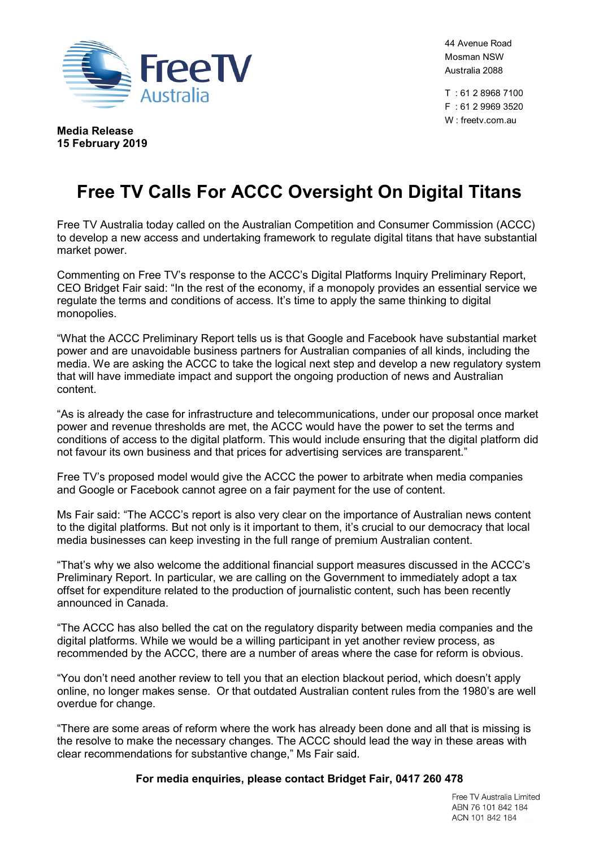

44 Avenue Road Mosman NSW Australia 2088

T : 61 2 8968 7100 F : 61 2 9969 3520 W : freetv.com.au

**Media Release 15 February 2019**

# **Free TV Calls For ACCC Oversight On Digital Titans**

Free TV Australia today called on the Australian Competition and Consumer Commission (ACCC) to develop a new access and undertaking framework to regulate digital titans that have substantial market power.

Commenting on Free TV's response to the ACCC's Digital Platforms Inquiry Preliminary Report, CEO Bridget Fair said: "In the rest of the economy, if a monopoly provides an essential service we regulate the terms and conditions of access. It's time to apply the same thinking to digital monopolies.

"What the ACCC Preliminary Report tells us is that Google and Facebook have substantial market power and are unavoidable business partners for Australian companies of all kinds, including the media. We are asking the ACCC to take the logical next step and develop a new regulatory system that will have immediate impact and support the ongoing production of news and Australian content.

"As is already the case for infrastructure and telecommunications, under our proposal once market power and revenue thresholds are met, the ACCC would have the power to set the terms and conditions of access to the digital platform. This would include ensuring that the digital platform did not favour its own business and that prices for advertising services are transparent."

Free TV's proposed model would give the ACCC the power to arbitrate when media companies and Google or Facebook cannot agree on a fair payment for the use of content.

Ms Fair said: "The ACCC's report is also very clear on the importance of Australian news content to the digital platforms. But not only is it important to them, it's crucial to our democracy that local media businesses can keep investing in the full range of premium Australian content.

"That's why we also welcome the additional financial support measures discussed in the ACCC's Preliminary Report. In particular, we are calling on the Government to immediately adopt a tax offset for expenditure related to the production of journalistic content, such has been recently announced in Canada.

"The ACCC has also belled the cat on the regulatory disparity between media companies and the digital platforms. While we would be a willing participant in yet another review process, as recommended by the ACCC, there are a number of areas where the case for reform is obvious.

"You don't need another review to tell you that an election blackout period, which doesn't apply online, no longer makes sense. Or that outdated Australian content rules from the 1980's are well overdue for change.

"There are some areas of reform where the work has already been done and all that is missing is the resolve to make the necessary changes. The ACCC should lead the way in these areas with clear recommendations for substantive change," Ms Fair said.

**For media enquiries, please contact Bridget Fair, 0417 260 478**

Free TV Australia Limited ABN 76 101 842 184 ACN 101 842 184